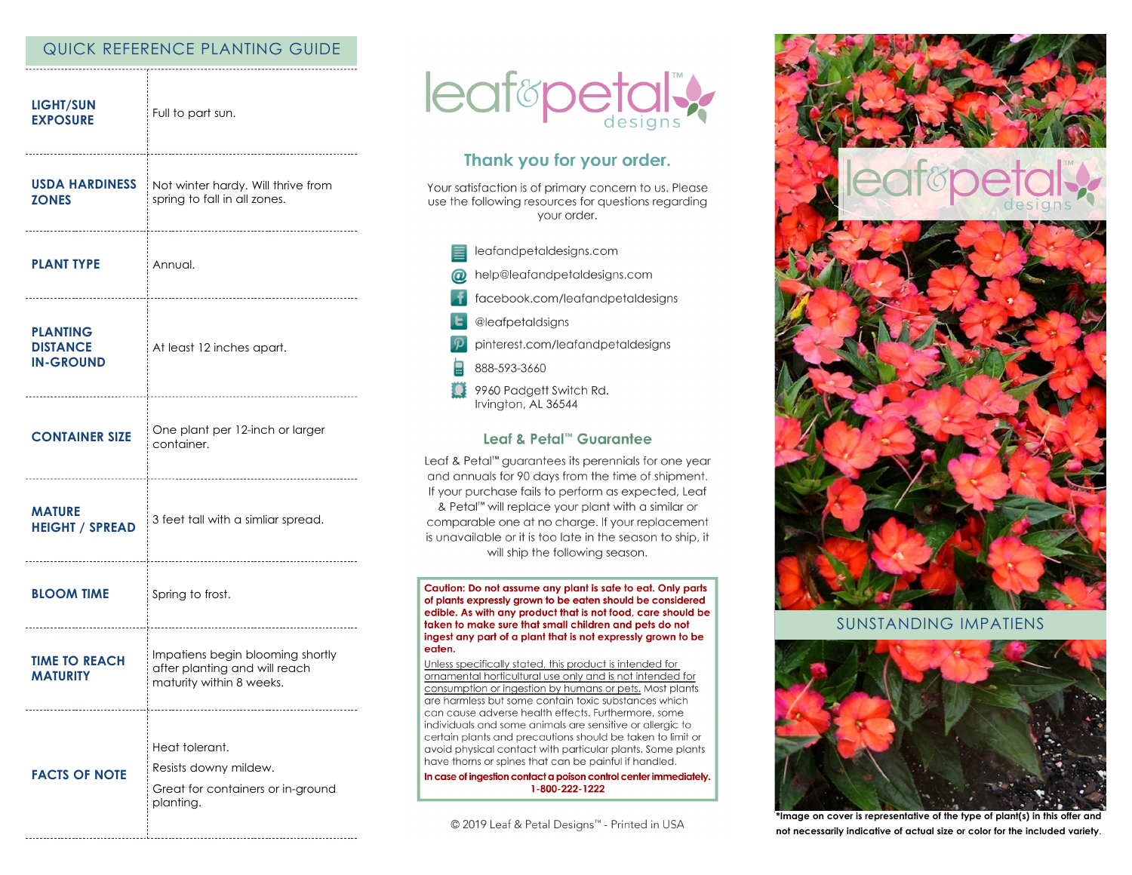# QUICK REFERENCE PLANTING GUIDE

| <b>LIGHT/SUN</b><br><b>EXPOSURE</b>                    | Full to part sun.                                                                             |
|--------------------------------------------------------|-----------------------------------------------------------------------------------------------|
| <b>USDA HARDINESS</b><br><b>ZONES</b>                  | Not winter hardy. Will thrive from<br>spring to fall in all zones.                            |
| <b>PLANT TYPE</b>                                      | Annual.                                                                                       |
| <b>PLANTING</b><br><b>DISTANCE</b><br><b>IN-GROUND</b> | At least 12 inches apart.                                                                     |
| <b>CONTAINER SIZE</b>                                  | One plant per 12-inch or larger<br>container.                                                 |
| <b>MATURE</b><br><b>HEIGHT / SPREAD</b>                | 3 feet tall with a simliar spread.                                                            |
| <b>BLOOM TIME</b>                                      | Spring to frost.                                                                              |
| <b>TIME TO REACH</b><br><b>MATURITY</b>                | Impatiens begin blooming shortly<br>after planting and will reach<br>maturity within 8 weeks. |
| <b>FACTS OF NOTE</b>                                   | Heat tolerant.<br>Resists downy mildew.<br>Great for containers or in-ground<br>planting.     |



# Thank you for your order.

Your satisfaction is of primary concern to us. Please use the following resources for questions regarding your order.

- leafandpetaldesigns.com
- help@leafandpetaldesigns.com
- facebook.com/leafandpetaldesigns
- @leafpetaldsigns
- pinterest.com/leafandpetaldesigns
- 888-593-3660
- 9960 Padgett Switch Rd. Irvington, AL 36544

### Leaf & Petal™ Guarantee

Leaf & Petal<sup>™</sup> guarantees its perennials for one year and annuals for 90 days from the time of shipment. If your purchase fails to perform as expected, Leaf & Petal™ will replace your plant with a similar or comparable one at no charge. If your replacement is unavailable or it is too late in the season to ship, it will ship the following season.

Caution: Do not assume any plant is safe to eat. Only parts of plants expressly grown to be eaten should be considered edible. As with any product that is not food, care should be taken to make sure that small children and pets do not ingest any part of a plant that is not expressly grown to be eaten.

Unless specifically stated, this product is intended for ornamental horticultural use only and is not intended for consumption or ingestion by humans or pets. Most plants are harmless but some contain toxic substances which can cause adverse health effects. Furthermore, some individuals and some animals are sensitive or allergic to certain plants and precautions should be taken to limit or avoid physical contact with particular plants. Some plants have thorns or spines that can be painful if handled.

In case of ingestion contact a poison control center immediately. 1-800-222-1222

© 2019 Leaf & Petal Designs™ - Printed in USA



## **SUNSTANDING IMPATIENS**



\*Image on cover is representative of the type of plant(s) in this offer and not necessarily indicative of actual size or color for the included variety.